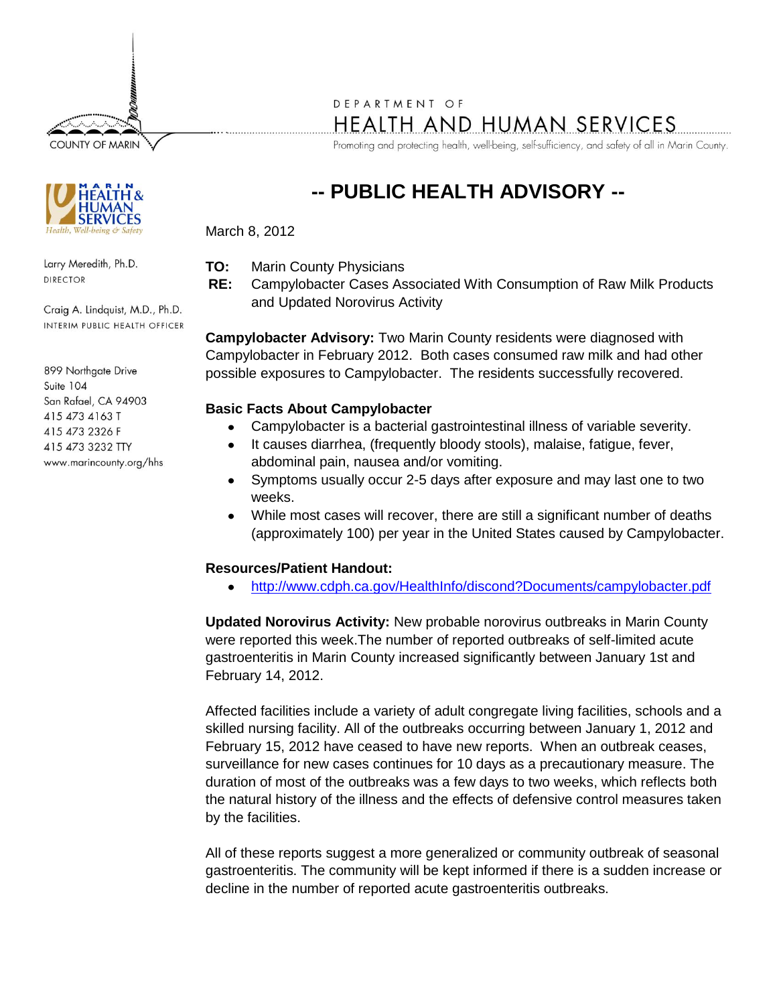**COUNTY OF MARIN** 



Larry Meredith, Ph.D. **DIRECTOR** 

Craig A. Lindquist, M.D., Ph.D. INTERIM PUBLIC HEALTH OFFICER

899 Northgate Drive Suite 104 San Rafael, CA 94903 415 473 4163 T 415 473 2326 F 415 473 3232 TTY www.marincounty.org/hhs

# DEPARTMENT OF

HEALTH AND HUMAN SERVICES

Promoting and protecting health, well-being, self-sufficiency, and safety of all in Marin County.

## **-- PUBLIC HEALTH ADVISORY --**

March 8, 2012

- **TO:** Marin County Physicians
- **RE:** Campylobacter Cases Associated With Consumption of Raw Milk Products and Updated Norovirus Activity

**Campylobacter Advisory:** Two Marin County residents were diagnosed with Campylobacter in February 2012. Both cases consumed raw milk and had other possible exposures to Campylobacter. The residents successfully recovered.

#### **Basic Facts About Campylobacter**

- Campylobacter is a bacterial gastrointestinal illness of variable severity.  $\bullet$
- It causes diarrhea, (frequently bloody stools), malaise, fatigue, fever, abdominal pain, nausea and/or vomiting.
- Symptoms usually occur 2-5 days after exposure and may last one to two weeks.
- While most cases will recover, there are still a significant number of deaths (approximately 100) per year in the United States caused by Campylobacter.

#### **Resources/Patient Handout:**

<http://www.cdph.ca.gov/HealthInfo/discond?Documents/campylobacter.pdf>  $\bullet$ 

**Updated Norovirus Activity:** New probable norovirus outbreaks in Marin County were reported this week.The number of reported outbreaks of self-limited acute gastroenteritis in Marin County increased significantly between January 1st and February 14, 2012.

Affected facilities include a variety of adult congregate living facilities, schools and a skilled nursing facility. All of the outbreaks occurring between January 1, 2012 and February 15, 2012 have ceased to have new reports. When an outbreak ceases, surveillance for new cases continues for 10 days as a precautionary measure. The duration of most of the outbreaks was a few days to two weeks, which reflects both the natural history of the illness and the effects of defensive control measures taken by the facilities.

All of these reports suggest a more generalized or community outbreak of seasonal gastroenteritis. The community will be kept informed if there is a sudden increase or decline in the number of reported acute gastroenteritis outbreaks.